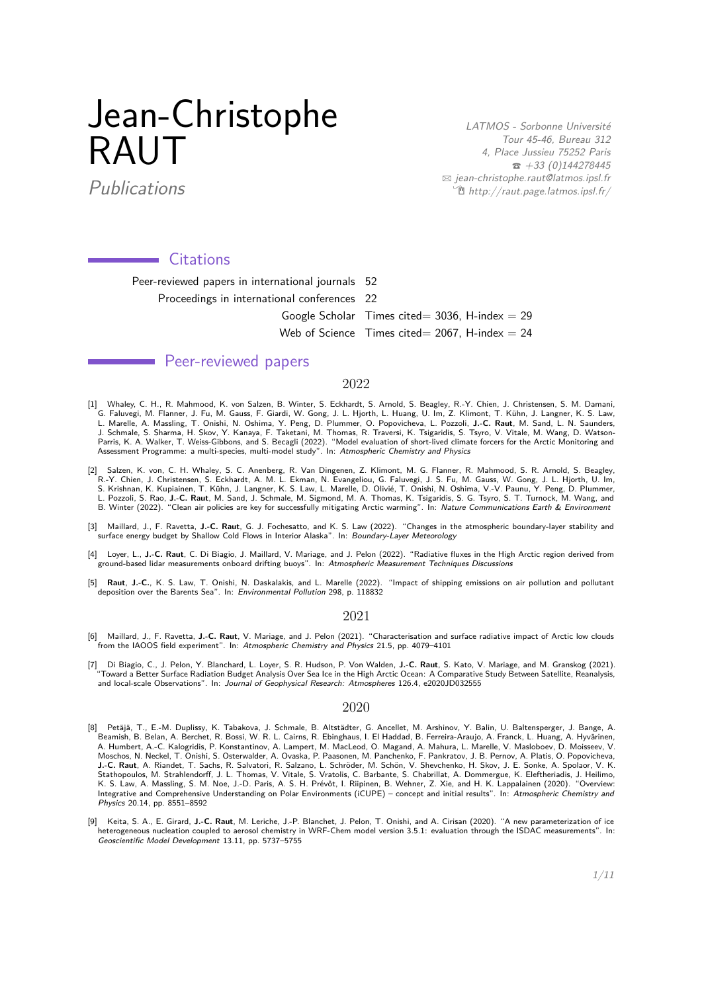# Jean-Christophe RAUT

LATMOS - Sorbonne Université Tour 45-46, Bureau 312 4, Place Jussieu 75252 Paris  $\bar{a}$  +33 (0)144278445  $\boxtimes$  [jean-christophe.raut@latmos.ipsl.fr](mailto:jean-christophe.raut@latmos.ipsl.fr)  $\hat{E}$  [http://raut.page.latmos.ipsl.fr/](http://http://raut.page.latmos.ipsl.fr/)

Publications

# Citations

Peer-reviewed papers in international journals 52 Proceedings in international conferences 22 Google Scholar Times cited= 3036, H-index =  $29$ Web of Science Times cited= 2067, H-index  $= 24$ 

# **Novel Seer-reviewed papers**

# 2022

- [1] Whaley, C. H., R. Mahmood, K. von Salzen, B. Winter, S. Eckhardt, S. Arnold, S. Beagley, R.-Y. Chien, J. Christensen, S. M. Damani, G. Faluvegi, M. Flanner, J. Fu, M. Gauss, F. Giardi, W. Gong, J. L. Hjorth, L. Huang, U. Im, Z. Klimont, T. Kühn, J. Langner, K. S. Law,<br>L. Marelle, A. Massling, T. Onishi, N. Oshima, Y. Peng, D. Plummer, O. Popovicheva, L Parris, K. A. Walker, T. Weiss-Gibbons, and S. Becagli (2022). "Model evaluation of short-lived climate forcers for the Arctic Monitoring and Assessment Programme: a multi-species, multi-model study". In: Atmospheric Chemistry and Physics
- [2] Salzen, K. von, C. H. Whaley, S. C. Anenberg, R. Van Dingenen, Z. Klimont, M. G. Flanner, R. Mahmood, S. R. Arnold, S. Beagley, R.-Y. Chien, J. Christensen, S. Eckhardt, A. M. L. Ekman, N. Evangeliou, G. Faluvegi, J. S. Fu, M. Gauss, W. Gong, J. L. Hjorth, U. Im, S. Krishnan, K. Kupiainen, T. Kühn, J. Langner, K. S. Law, L. Marelle, D. Olivié, T. Onishi, N. Oshima, V.-V. Paunu, Y. Peng, D. Plummer, L. Pozzoli, S. Rao, **J.-C. Raut**, M. Sand, J. Schmale, M. Sigmond, M. A. Thomas, K. Tsigaridis, S. G. Tsyro, S. T. Turnock, M. Wang, and B. Winter (2022). "Clean air policies are key for successfully mitigating Arctic warming". In: Nature Communications Earth & Environment
- [3] Maillard, J., F. Ravetta, **J.-C. Raut**, G. J. Fochesatto, and K. S. Law (2022). "Changes in the atmospheric boundary-layer stability and surface energy budget by Shallow Cold Flows in Interior Alaska". In: Boundary-Layer Meteorology
- [4] Loyer, L., **J.-C. Raut**, C. Di Biagio, J. Maillard, V. Mariage, and J. Pelon (2022). "Radiative fluxes in the High Arctic region derived from<br>ground-based lidar measurements onboard drifting buoys". In: *Atmospheric Me*
- [5] **Raut**, **J.-C.**, K. S. Law, T. Onishi, N. Daskalakis, and L. Marelle (2022). "Impact of shipping emissions on air pollution and pollutant deposition over the Barents Sea". In: Environmental Pollution 298, p. 118832

# 2021

- [6] Maillard, J., F. Ravetta, **J.-C. Raut**, V. Mariage, and J. Pelon (2021). "Characterisation and surface radiative impact of Arctic low clouds<br>from the IAOOS field experiment". In: *Atmospheric Chemistry and Physics* 21.
- [7] Di Biagio, C., J. Pelon, Y. Blanchard, L. Loyer, S. R. Hudson, P. Von Walden, **J.-C. Raut**, S. Kato, V. Mariage, and M. Granskog (2021). "Toward a Better Surface Radiation Budget Analysis Over Sea Ice in the High Arctic Ocean: A Comparative Study Between Satellite, Reanalysis, and local-scale Observations". In: Journal of Geophysical Research: Atmospheres 126.4, e2020JD032555

# 2020

- [8] Petäjä, T., E.-M. Duplissy, K. Tabakova, J. Schmale, B. Altstädter, G. Ancellet, M. Arshinov, Y. Balin, U. Baltensperger, J. Bange, A. Beamish, B. Belan, A. Berchet, R. Bossi, W. R. L. Cairns, R. Ebinghaus, I. El Haddad, B. Ferreira-Araujo, A. Franck, L. Huang, A. Hyvärinen, A. Humbert, A.-C. Kalogridis, P. Konstantinov, A. Lampert, M. MacLeod, O. Magand, A. Mahura, L. Marelle, V. Masloboev, D. Moisseev, V. Moschos, N. Neckel, T. Onishi, S. Osterwalder, A. Ovaska, P. Paasonen, M. Panchenko, F. Pankratov, J. B. Pernov, A. Platis, O. Popovicheva, **J.-C. Raut**, A. Riandet, T. Sachs, R. Salvatori, R. Salzano, L. Schröder, M. Schön, V. Shevchenko, H. Skov, J. E. Sonke, A. Spolaor, V. K.<br>Stathopoulos, M. Strahlendorff, J. L. Thomas, V. Vitale, S. Vratolis, C. Barbante, Integrative and Comprehensive Understanding on Polar Environments (iCUPE) – concept and initial results". In: Atmospheric Chemistry and Physics 20.14, pp. 8551–8592
- [9] Keita, S. A., E. Girard, **J.-C. Raut**, M. Leriche, J.-P. Blanchet, J. Pelon, T. Onishi, and A. Cirisan (2020). "A new parameterization of ice heterogeneous nucleation coupled to aerosol chemistry in WRF-Chem model version 3.5.1: evaluation through the ISDAC measurements". In: Geoscientific Model Development 13.11, pp. 5737–5755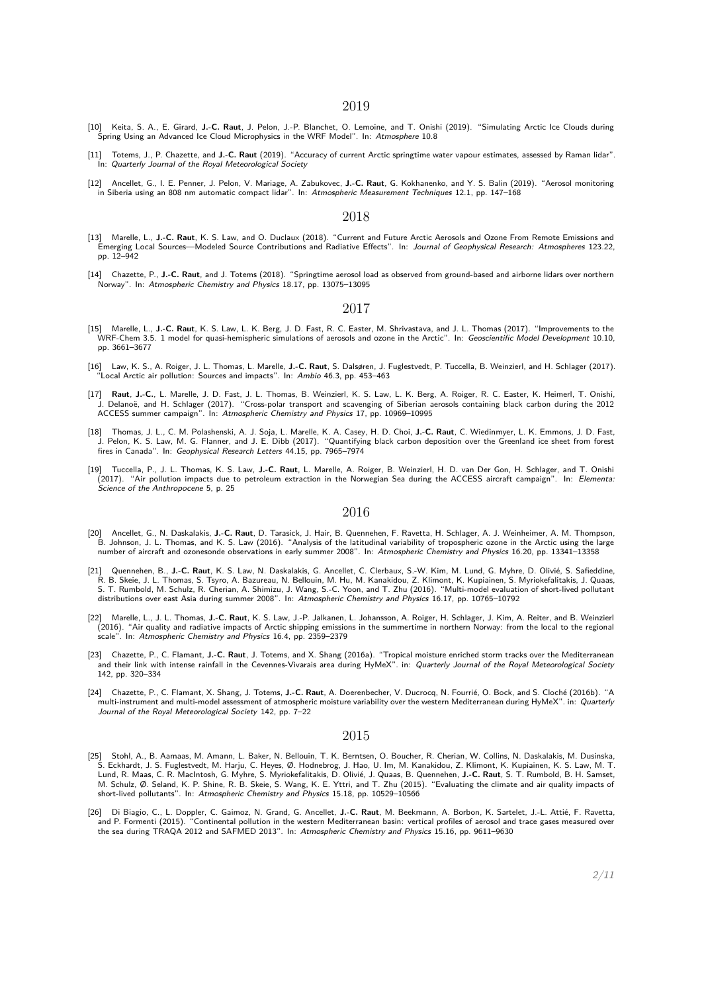2019

- [10] Keita, S. A., E. Girard, **J.-C. Raut**, J. Pelon, J.-P. Blanchet, O. Lemoine, and T. Onishi (2019). "Simulating Arctic Ice Clouds during<br>Spring Using an Advanced Ice Cloud Microphysics in the WRF Model". In: *Atmospher*
- [11] Totems, J., P. Chazette, and **J.-C. Raut** (2019). "Accuracy of current Arctic springtime water vapour estimates, assessed by Raman lidar". In: Quarterly Journal of the Royal Meteorological Society
- [12] Ancellet, G., I. E. Penner, J. Pelon, V. Mariage, A. Zabukovec, **J.-C. Raut**, G. Kokhanenko, and Y. S. Balin (2019). "Aerosol monitoring<br>in Siberia using an 808 nm automatic compact lidar". In: *Atmospheric Measuremen*

# 2018

- [13] Marelle, L., **J.-C. Raut**, K. S. Law, and O. Duclaux (2018). "Current and Future Arctic Aerosols and Ozone From Remote Emissions and Emerging Local Sources—Modeled Source Contributions and Radiative Effects". In: Journal of Geophysical Research: Atmospheres 123.22, pp. 12–942
- [14] Chazette, P., **J.-C. Raut**, and J. Totems (2018). "Springtime aerosol load as observed from ground-based and airborne lidars over northern Norway". In: Atmospheric Chemistry and Physics 18.17, pp. 13075–13095

## 2017

- [15] Marelle, L., **J.-C. Raut**, K. S. Law, L. K. Berg, J. D. Fast, R. C. Easter, M. Shrivastava, and J. L. Thomas (2017). "Improvements to the WRF-Chem 3.5. 1 model for quasi-hemispheric simulations of aerosols and ozone in the Arctic". In: Geoscientific Model Development 10.10, pp. 3661–3677
- [16] Law, K. S., A. Roiger, J. L. Thomas, L. Marelle, **J.-C. Raut**, S. Dalsøren, J. Fuglestvedt, P. Tuccella, B. Weinzierl, and H. Schlager (2017). Local Arctic air pollution: Sources and impacts". In: Ambio 46.3, pp. 453-463
- I7] Raut, J.-C., L. Marelle, J. D. Fast, J. L. Thomas, B. Weinzierl, K. S. Law, L. K. Berg, A. Roiger, R. C. Easter, K. Heimerl, T. Onishi,<br>J. Delanoë, and H. Schlager (2017). "Cross-polar transport and scavenging of Siber ACCESS summer campaign". In: Atmospheric Chemistry and Physics 17, pp. 10969–10995
- [18] Thomas, J. L., C. M. Polashenski, A. J. Soja, L. Marelle, K. A. Casey, H. D. Choi, **J.-C. Raut**, C. Wiedinmyer, L. K. Emmons, J. D. Fast,<br>J. Pelon, K. S. Law, M. G. Flanner, and J. E. Dibb (2017). "Quantifying black fires in Canada". In: Geophysical Research Letters 44.15, pp. 7965–7974
- [19] Tuccella, P., J. L. Thomas, K. S. Law, **J.-C. Raut**, L. Marelle, A. Roiger, B. Weinzierl, H. D. van Der Gon, H. Schlager, and T. Onishi (2017). "Air pollution impacts due to petroleum extraction in the Norwegian Sea during the ACCESS aircraft campaign". In: Elementa: Science of the Anthropocene 5, p. 25

## 2016

- [20] Ancellet, G., N. Daskalakis, **J.-C. Raut**, D. Tarasick, J. Hair, B. Quennehen, F. Ravetta, H. Schlager, A. J. Weinheimer, A. M. Thompson, B. Johnson, J. L. Thomas, and K. S. Law (2016). "Analysis of the latitudinal variability of tropospheric ozone in the Arctic using the large number of aircraft and ozonesonde observations in early summer 2008". In: Atmospheric Chemistry and Physics 16.20, pp. 13341–13358
- [21] Quennehen, B., **J.-C. Raut**, K. S. Law, N. Daskalakis, G. Ancellet, C. Clerbaux, S.-W. Kim, M. Lund, G. Myhre, D. Olivié, S. Safieddine, R. B. Skeie, J. L. Thomas, S. Tsyro, A. Bazureau, N. Bellouin, M. Hu, M. Kanakidou, Z. Klimont, K. Kupiainen, S. Myriokefalitakis, J. Quaas,<br>S. T. Rumbold, M. Schulz, R. Cherian, A. Shimizu, J. Wang, S.-C. Yoon, and T. Zhu distributions over east Asia during summer 2008". In: Atmospheric Chemistry and Physics 16.17, pp. 10765–10792
- [22] Marelle, L., J. L. Thomas, **J.-C. Raut**, K. S. Law, J.-P. Jalkanen, L. Johansson, A. Roiger, H. Schlager, J. Kim, A. Reiter, and B. Weinzierl (2016). "Air quality and radiative impacts of Arctic shipping emissions in the summertime in northern Norway: from the local to the regional scale". In: Atmospheric Chemistry and Physics 16.4, pp. 2359–2379
- [23] Chazette, P., C. Flamant, **J.-C. Raut**, J. Totems, and X. Shang (2016a). "Tropical moisture enriched storm tracks over the Mediterranean and their link with intense rainfall in the Cevennes-Vivarais area during HyMeX". in: Quarterly Journal of the Royal Meteorological Society 142, pp. 320–334
- [24] Chazette, P., C. Flamant, X. Shang, J. Totems, **J.-C. Raut**, A. Doerenbecher, V. Ducrocq, N. Fourrié, O. Bock, and S. Cloché (2016b). "A multi-instrument and multi-model assessment of atmospheric moisture variability over the western Mediterranean during HyMeX". in: Quarterly Journal of the Royal Meteorological Society 142, pp. 7–22

#### 2015

- [25] Stohl, A., B. Aamaas, M. Amann, L. Baker, N. Bellouin, T. K. Berntsen, O. Boucher, R. Cherian, W. Collins, N. Daskalakis, M. Dusinska, S. Eckhardt, J. S. Fuglestvedt, M. Harju, C. Heyes, Ø. Hodnebrog, J. Hao, U. Im, M. Kanakidou, Z. Klimont, K. Kupiainen, K. S. Law, M. T.<br>Lund, R. Maas, C. R. MacIntosh, G. Myhre, S. Myriokefalitakis, D. Olivié, J. Quaas, M. Schulz, Ø. Seland, K. P. Shine, R. B. Skeie, S. Wang, K. E. Yttri, and T. Zhu (2015). "Evaluating the climate and air quality impacts of short-lived pollutants". In: Atmospheric Chemistry and Physics 15.18, pp. 10529–10566
- [26] Di Biagio, C., L. Doppler, C. Gaimoz, N. Grand, G. Ancellet, **J.-C. Raut**, M. Beekmann, A. Borbon, K. Sartelet, J.-L. Attié, F. Ravetta, and P. Formenti (2015). "Continental pollution in the western Mediterranean basin: vertical profiles of aerosol and trace gases measured over<br>the sea during TRAQA 2012 and SAFMED 2013". In: *Atmospheric Chemistry and Physi*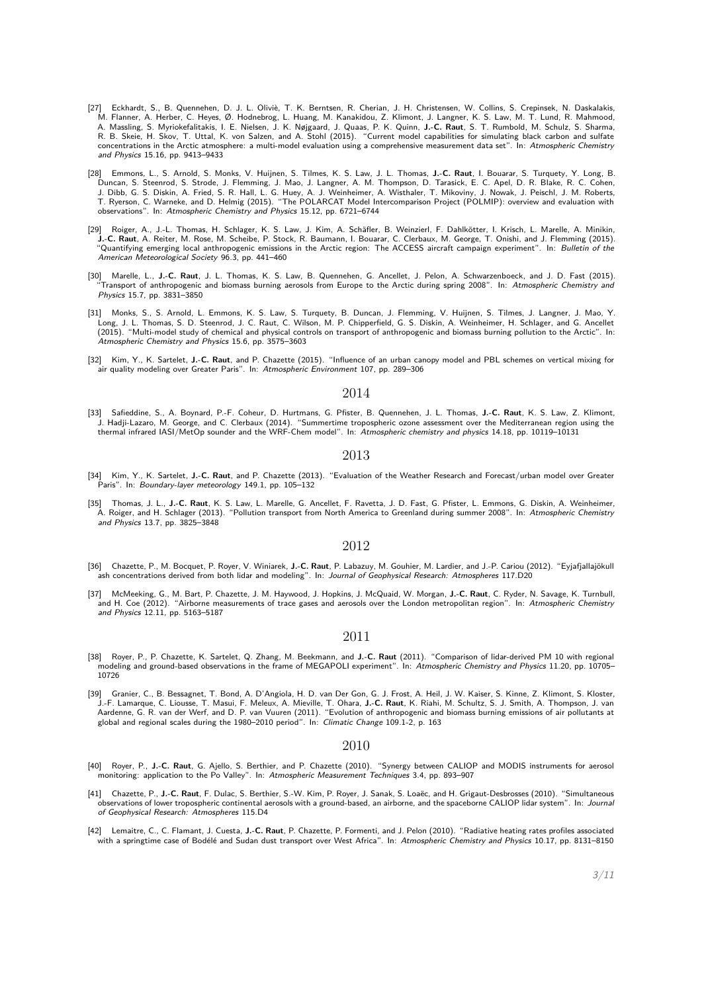- [27] Eckhardt, S., B. Quennehen, D. J. L. Oliviè, T. K. Berntsen, R. Cherian, J. H. Christensen, W. Collins, S. Crepinsek, N. Daskalakis,<br>M. Flanner, A. Herber, C. Heyes, Ø. Hodnebrog, L. Huang, M. Kanakidou, Z. Klimont, J A. Massling, S. Myriokefalitakis, I. E. Nielsen, J. K. Nøjgaard, J. Quaas, P. K. Quinn, **J.-C. Raut**, S. T. Rumbold, M. Schulz, S. Sharma,<br>R. B. Skeie, H. Skov, T. Uttal, K. von Salzen, and A. Stohl (2015). "Current model concentrations in the Arctic atmosphere: a multi-model evaluation using a comprehensive measurement data set". In: Atmospheric Chemistry and Physics 15.16, pp. 9413–9433
- [28] Emmons, L., S. Arnold, S. Monks, V. Huijnen, S. Tilmes, K. S. Law, J. L. Thomas, J.-**C. Raut**, I. Bouarar, S. Turquety, Y. Long, B. Duncan, S. Steenrod, S. Strode, J. Flemming, J. Mao, J. Langner, A. M. Thompson, D. T observations". In: Atmospheric Chemistry and Physics 15.12, pp. 6721–6744
- [29] Roiger, A., J.-L. Thomas, H. Schlager, K. S. Law, J. Kim, A. Schäfler, B. Weinzierl, F. Dahlkötter, I. Krisch, L. Marelle, A. Minikin, J.-C. Raut, A. Reiter, M. Rose, M. Scheibe, P. Stock, R. Baumann, I. Bouarar, C. Clerbaux, M. George, T. Onishi, and J. Flemming (2015).<br>"Quantifying emerging local anthropogenic emissions in the Arctic region: The ACCESS American Meteorological Society 96.3, pp. 441–460
- .[30] Marelle, L., **J.-C. Raut**, J. L. Thomas, K. S. Law, B. Quennehen, G. Ancellet, J. Pelon, A. Schwarzenboeck, and J. D. Fast (2015).<br>Transport of anthropogenic and biomass burning aerosols from Europe to the Arctic d Physics 15.7, pp. 3831–3850
- [31] Monks, S., S. Arnold, L. Emmons, K. S. Law, S. Turquety, B. Duncan, J. Flemming, V. Huijnen, S. Tilmes, J. Langner, J. Mao, Y.<br>Long, J. L. Thomas, S. D. Steenrod, J. C. Raut, C. Wilson, M. P. Chipperfield, G. S. Disk (2015). "Multi-model study of chemical and physical controls on transport of anthropogenic and biomass burning pollution to the Arctic". In: Atmospheric Chemistry and Physics 15.6, pp. 3575–3603
- [32] Kim, Y., K. Sartelet, **J.-C. Raut**, and P. Chazette (2015). "Influence of an urban canopy model and PBL schemes on vertical mixing for air quality modeling over Greater Paris". In: Atmospheric Environment 107, pp. 289-306

## 2014

[33] Safieddine, S., A. Boynard, P.-F. Coheur, D. Hurtmans, G. Pfister, B. Quennehen, J. L. Thomas, **J.-C. Raut**, K. S. Law, Z. Klimont, J. Hadji-Lazaro, M. George, and C. Clerbaux (2014). "Summertime tropospheric ozone assessment over the Mediterranean region using the<br>thermal infrared IASI/MetOp sounder and the WRF-Chem model". In: *Atmospheric chemistry* 

# 2013

- [34] Kim, Y., K. Sartelet, **J.-C. Raut**, and P. Chazette (2013). "Evaluation of the Weather Research and Forecast/urban model over Greater Paris". In: Boundary-layer meteorology 149.1, pp. 105-132
- [35] Thomas, J. L., **J.-C. Raut**, K. S. Law, L. Marelle, G. Ancellet, F. Ravetta, J. D. Fast, G. Pfister, L. Emmons, G. Diskin, A. Weinheimer, A. Roiger, and H. Schlager (2013). "Pollution transport from North America to Greenland during summer 2008". In: Atmospheric Chemistry and Physics 13.7, pp. 3825–3848

# 2012

- [36] Chazette, P., M. Bocquet, P. Royer, V. Winiarek, **J.-C. Raut**, P. Labazuy, M. Gouhier, M. Lardier, and J.-P. Cariou (2012). "Eyjafjallajökull ash concentrations derived from both lidar and modeling". In: Journal of Geophysical Research: Atmospheres 117.D20
- [37] McMeeking, G., M. Bart, P. Chazette, J. M. Haywood, J. Hopkins, J. McQuaid, W. Morgan, **J.-C. Raut**, C. Ryder, N. Savage, K. Turnbull, and H. Coe (2012). "Airborne measurements of trace gases and aerosols over the London metropolitan region". In: Atmospheric Chemistry and Physics 12.11, pp. 5163–5187

# 2011

- [38] Royer, P., P. Chazette, K. Sartelet, Q. Zhang, M. Beekmann, and **J.-C. Raut** (2011). "Comparison of lidar-derived PM 10 with regional<br>-10705 modeling and ground-based observations in the frame of MEGAPOLI experiment". 10726
- [39] Granier, C., B. Bessagnet, T. Bond, A. D'Angiola, H. D. van Der Gon, G. J. Frost, A. Heil, J. W. Kaiser, S. Kinne, Z. Klimont, S. Kloster, J.-F. Lamarque, C. Liousse, T. Masui, F. Meleux, A. Mieville, T. Ohara, **J.-C. Raut**, K. Riahi, M. Schultz, S. J. Smith, A. Thompson, J. van<br>Aardenne, G. R. van der Werf, and D. P. van Vuuren (2011). "Evolution of anthropo global and regional scales during the 1980–2010 period". In: Climatic Change 109.1-2, p. 163

# 2010

- [40] Royer, P., **J.-C. Raut**, G. Ajello, S. Berthier, and P. Chazette (2010). "Synergy between CALIOP and MODIS instruments for aerosol monitoring: application to the Po Valley". In: Atmospheric Measurement Techniques 3.4, pp. 893–907
- [41] Chazette, P., **J.-C. Raut**, F. Dulac, S. Berthier, S.-W. Kim, P. Royer, J. Sanak, S. Loaëc, and H. Grigaut-Desbrosses (2010). "Simultaneous observations of lower tropospheric continental aerosols with a ground-based, an airborne, and the spaceborne CALIOP lidar system". In: Journal of Geophysical Research: Atmospheres 115.D4
- [42] Lemaitre, C., C. Flamant, J. Cuesta, **J.-C. Raut**, P. Chazette, P. Formenti, and J. Pelon (2010). "Radiative heating rates profiles associated with a springtime case of Bodélé and Sudan dust transport over West Africa". In: Atmospheric Chemistry and Physics 10.17, pp. 8131-8150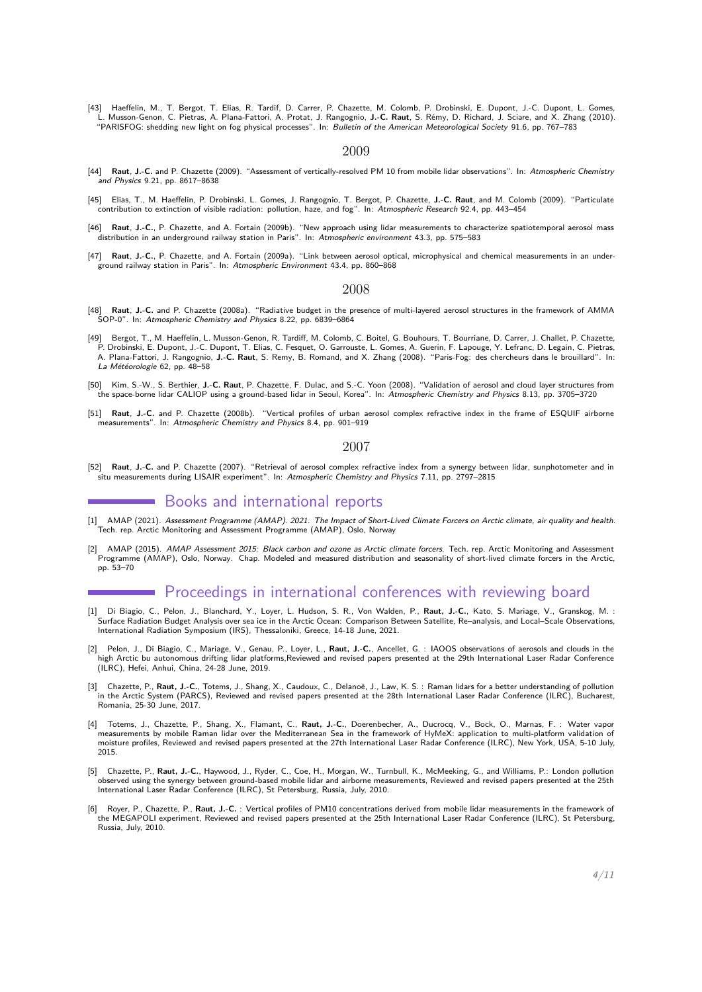[43] Haeffelin, M., T. Bergot, T. Elias, R. Tardif, D. Carrer, P. Chazette, M. Colomb, P. Drobinski, E. Dupont, J.-C. Dupont, L. Gomes,<br>L. Musson-Genon, C. Pietras, A. Plana-Fattori, A. Protat, J. Rangognio, **J.-C. Raut** 

## 2009

- [44] **Raut**, **J.-C.** and P. Chazette (2009). "Assessment of vertically-resolved PM 10 from mobile lidar observations". In: Atmospheric Chemistry and Physics 9.21, pp. 8617–8638
- [45] Elias, T., M. Haeffelin, P. Drobinski, L. Gomes, J. Rangognio, T. Bergot, P. Chazette, **J.-C. Raut**, and M. Colomb (2009). "Particulate contribution to extinction of visible radiation: pollution, haze, and fog". In: Atmospheric Research 92.4, pp. 443–454
- [46] **Raut**, **J.-C.**, P. Chazette, and A. Fortain (2009b). "New approach using lidar measurements to characterize spatiotemporal aerosol mass distribution in an underground railway station in Paris". In: Atmospheric environment 43.3, pp. 575–583
- [47] **Raut**, **J.-C.**, P. Chazette, and A. Fortain (2009a). "Link between aerosol optical, microphysical and chemical measurements in an underground railway station in Paris". In: Atmospheric Environment 43.4, pp. 860–868

## 2008

- [48] **Raut**, **J.-C.** and P. Chazette (2008a). "Radiative budget in the presence of multi-layered aerosol structures in the framework of AMMA SOP-0". In: Atmospheric Chemistry and Physics 8.22, pp. 6839–6864
- [49] Bergot, T., M. Haeffelin, L. Musson-Genon, R. Tardiff, M. Colomb, C. Boitel, G. Bouhours, T. Bourriane, D. Carrer, J. Challet, P. Chazette, P. Drobinski, E. Dupont, J.-C. Dupont, T. Elias, C. Fesquet, O. Garrouste, L. Gomes, A. Guerin, F. Lapouge, Y. Lefranc, D. Legain, C. Pietras, A. Plana-Fattori, J. Rangognio, **J.-C. Raut**, S. Remy, B. Romand, and X. Zhang (2008). "Paris-Fog: des chercheurs dans le brouillard". In: La Météorologie 62, pp. 48–58
- 50] Kim, S.-W., S. Berthier, **J.-C. Raut**, P. Chazette, F. Dulac, and S.-C. Yoon (2008). "Validation of aerosol and cloud layer structures from<br>the space-borne lidar CALIOP using a ground-based lidar in Seoul, Korea". In:
- [51] **Raut**, **J.-C.** and P. Chazette (2008b). "Vertical profiles of urban aerosol complex refractive index in the frame of ESQUIF airborne measurements". In: Atmospheric Chemistry and Physics 8.4, pp. 901–919

#### 2007

[52] **Raut**, **J.-C.** and P. Chazette (2007). "Retrieval of aerosol complex refractive index from a synergy between lidar, sunphotometer and in situ measurements during LISAIR experiment". In: Atmospheric Chemistry and Physics 7.11, pp. 2797–2815

# Books and international reports

- [1] AMAP (2021). *Assessment Programme (AMAP). 2021. The Impact of Short-Lived Climate Forcers on Arctic climate, air quality and health.<br>Tech. rep. Arctic Monitoring and Assessment Programme (AMAP), Oslo, Norway*
- [2] AMAP (2015). AMAP Assessment 2015: Black carbon and ozone as Arctic climate forcers. Tech. rep. Arctic Monitoring and Assessment Programme (AMAP), Oslo, Norway. Chap. Modeled and measured distribution and seasonality of short-lived climate forcers in the Arctic, pp. 53–70

# Proceedings in international conferences with reviewing board

- [1] Di Biagio, C., Pelon, J., Blanchard, Y., Loyer, L. Hudson, S. R., Von Walden, P., **Raut, J.-C.**, Kato, S. Mariage, V., Granskog, M. : Surface Radiation Budget Analysis over sea ice in the Arctic Ocean: Comparison Between Satellite, Re–analysis, and Local–Scale Observations, International Radiation Symposium (IRS), Thessaloniki, Greece, 14-18 June, 2021.
- [2] Pelon, J., Di Biagio, C., Mariage, V., Genau, P., Loyer, L., **Raut, J.-C.**, Ancellet, G. : IAOOS observations of aerosols and clouds in the high Arctic bu autonomous drifting lidar platforms,Reviewed and revised papers presented at the 29th International Laser Radar Conference (ILRC), Hefei, Anhui, China, 24-28 June, 2019.
- [3] Chazette, P., **Raut, J.-C.**, Totems, J., Shang, X., Caudoux, C., Delanoë, J., Law, K. S. : Raman lidars for a better understanding of pollution in the Arctic System (PARCS), Reviewed and revised papers presented at the 28th International Laser Radar Conference (ILRC), Bucharest, Romania, 25-30 June, 2017.
- [4] Totems, J., Chazette, P., Shang, X., Flamant, C., **Raut, J.-C.**, Doerenbecher, A., Ducrocq, V., Bock, O., Marnas, F. : Water vapor measurements by mobile Raman lidar over the Mediterranean Sea in the framework of HyMeX: application to multi-platform validation of moisture profiles, Reviewed and revised papers presented at the 27th International Laser Radar Conference (ILRC), New York, USA, 5-10 July, 2015.
- [5] Chazette, P., **Raut, J.-C.**, Haywood, J., Ryder, C., Coe, H., Morgan, W., Turnbull, K., McMeeking, G., and Williams, P.: London pollution observed using the synergy between ground-based mobile lidar and airborne measurements, Reviewed and revised papers presented at the 25th International Laser Radar Conference (ILRC), St Petersburg, Russia, July, 2010.
- [6] Royer, P., Chazette, P., **Raut, J.-C.** : Vertical profiles of PM10 concentrations derived from mobile lidar measurements in the framework of the MEGAPOLI experiment, Reviewed and revised papers presented at the 25th International Laser Radar Conference (ILRC), St Petersburg, Russia, July, 2010.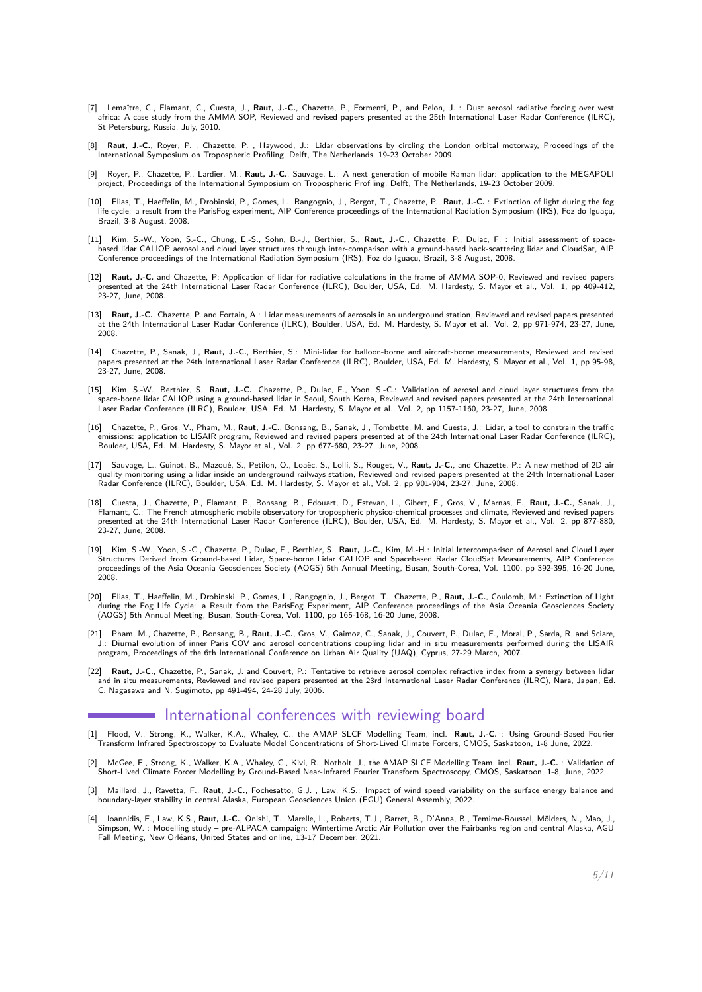- [7] Lemaître, C., Flamant, C., Cuesta, J., **Raut, J.-C.**, Chazette, P., Formenti, P., and Pelon, J. : Dust aerosol radiative forcing over west africa: A case study from the AMMA SOP, Reviewed and revised papers presented at the 25th International Laser Radar Conference (ILRC), St Petersburg, Russia, July, 2010.
- [8] **Raut, J.-C.**, Royer, P. , Chazette, P. , Haywood, J.: Lidar observations by circling the London orbital motorway, Proceedings of the International Symposium on Tropospheric Profiling, Delft, The Netherlands, 19-23 October 2009.
- [9] Royer, P., Chazette, P., Lardier, M., **Raut, J.-C.**, Sauvage, L.: A next generation of mobile Raman lidar: application to the MEGAPOLI project, Proceedings of the International Symposium on Tropospheric Profiling, Delft, The Netherlands, 19-23 October 2009.
- [10] Elias, T., Haeffelin, M., Drobinski, P., Gomes, L., Rangognio, J., Bergot, T., Chazette, P., **Raut, J.-C.** : Extinction of light during the fog life cycle: a result from the ParisFog experiment, AIP Conference proceedings of the International Radiation Symposium (IRS), Foz do Iguaçu, Brazil, 3-8 August, 2008.
- [11] Kim, S.-W., Yoon, S.-C., Chung, E.-S., Sohn, B.-J., Berthier, S., **Raut, J.-C.**, Chazette, P., Dulac, F. : Initial assessment of spacebased lidar CALIOP aerosol and cloud layer structures through inter-comparison with a ground-based back-scattering lidar and CloudSat, AIP Conference proceedings of the International Radiation Symposium (IRS), Foz do Iguaçu, Brazil, 3-8 August, 2008.
- [12] **Raut, J.-C.** and Chazette, P: Application of lidar for radiative calculations in the frame of AMMA SOP-0, Reviewed and revised papers presented at the 24th International Laser Radar Conference (ILRC), Boulder, USA, Ed. M. Hardesty, S. Mayor et al., Vol. 1, pp 409-412, presented at ...<br>23-27, June, 2008.
- [13] **Raut, J.-C.**, Chazette, P. and Fortain, A.: Lidar measurements of aerosols in an underground station, Reviewed and revised papers presented at the 24th International Laser Radar Conference (ILRC), Boulder, USA, Ed. M. Hardesty, S. Mayor et al., Vol. 2, pp 971-974, 23-27, June, 2008.
- [14] Chazette, P., Sanak, J., **Raut, J.-C.**, Berthier, S.: Mini-lidar for balloon-borne and aircraft-borne measurements, Reviewed and revised papers presented at the 24th International Laser Radar Conference (ILRC), Boulder, USA, Ed. M. Hardesty, S. Mayor et al., Vol. 1, pp 95-98, 23-27, June, 2008.
- [15] Kim, S.-W., Berthier, S., **Raut, J.-C.**, Chazette, P., Dulac, F., Yoon, S.-C.: Validation of aerosol and cloud layer structures from the<br>space-borne lidar CALIOP using a ground-based lidar in Seoul, South Korea, Revie Laser Radar Conference (ILRC), Boulder, USA, Ed. M. Hardesty, S. Mayor et al., Vol. 2, pp 1157-1160, 23-27, June, 2008.
- [16] Chazette, P., Gros, V., Pham, M., **Raut, J.-C.**, Bonsang, B., Sanak, J., Tombette, M. and Cuesta, J.: Lidar, a tool to constrain the traffic emissions: application to LISAIR program, Reviewed and revised papers presented at of the 24th International Laser Radar Conference (ILRC),<br>Boulder, USA, Ed. M. Hardesty, S. Mayor et al., Vol. 2, pp 677-680, 23-27, June, 2
- [17] Sauvage, L., Guinot, B., Mazoué, S., Petilon, O., Loaëc, S., Lolli, S., Rouget, V., **Raut, J.-C.**, and Chazette, P.: A new method of 2D air quality monitoring using a lidar inside an underground railways station, Reviewed and revised papers presented at the 24th International Laser Radar Conference (ILRC), Boulder, USA, Ed. M. Hardesty, S. Mayor et al., Vol. 2, pp 901-904, 23-27, June, 2008.
- [18] Cuesta, J., Chazette, P., Flamant, P., Bonsang, B., Edouart, D., Estevan, L., Gibert, F., Gros, V., Marnas, F., **Raut, J.-C.**, Sanak, J., Flamant, C.: The French atmospheric mobile observatory for tropospheric physico-chemical processes and climate, Reviewed and revised papers presented at the 24th International Laser Radar Conference (ILRC), Boulder, USA, Ed. M. Hardesty, S. Mayor et al., Vol. 2, pp 877-880, 23-27, June, 2008.
- [19] Kim, S.-W., Yoon, S.-C., Chazette, P., Dulac, F., Berthier, S., **Raut, J.-C.**, Kim, M.-H.: Initial Intercomparison of Aerosol and Cloud Layer Structures Derived from Ground-based Lidar, Space-borne Lidar CALIOP and Spacebased Radar CloudSat Measurements, AIP Conference proceedings of the Asia Oceania Geosciences Society (AOGS) 5th Annual Meeting, Busan, South-Corea, Vol. 1100, pp 392-395, 16-20 June,  $2008$
- [20] Elias, T., Haeffelin, M., Drobinski, P., Gomes, L., Rangognio, J., Bergot, T., Chazette, P., **Raut, J.-C.**, Coulomb, M.: Extinction of Light during the Fog Life Cycle: a Result from the ParisFog Experiment, AIP Conference proceedings of the Asia Oceania Geosciences Society (AOGS) 5th Annual Meeting, Busan, South-Corea, Vol. 1100, pp 165-168, 16-20 June, 2008.
- [21] Pham, M., Chazette, P., Bonsang, B., **Raut, J.-C.**, Gros, V., Gaimoz, C., Sanak, J., Couvert, P., Dulac, F., Moral, P., Sarda, R. and Sciare, J.: Diurnal evolution of inner Paris COV and aerosol concentrations coupling lidar and in situ measurements performed during the LISAIR<br>program, Proceedings of the 6th International Conference on Urban Air Quality (UAQ), C
- [22] Raut, J.-C., Chazette, P., Sanak, J. and Couvert, P.: Tentative to retrieve aerosol complex refractive index from a synergy between lidar and in situ measurements, Reviewed and revised papers presented at the 23rd International Laser Radar Conference (ILRC), Nara, Japan, Ed. C. Nagasawa and N. Sugimoto, pp 491-494, 24-28 July, 2006.

# International conferences with reviewing board

- [1] Flood, V., Strong, K., Walker, K.A., Whaley, C., the AMAP SLCF Modelling Team, incl. Raut, J.-C. : Using Ground-Based Fourier<br>Transform Infrared Spectroscopy to Evaluate Model Concentrations of Short-Lived Climate Forc
- [2] McGee, E., Strong, K., Walker, K.A., Whaley, C., Kivi, R., Notholt, J., the AMAP SLCF Modelling Team, incl. **Raut, J.-C.** : Validation of Short-Lived Climate Forcer Modelling by Ground-Based Near-Infrared Fourier Transform Spectroscopy, CMOS, Saskatoon, 1-8, June, 2022.
- [3] Maillard, J., Ravetta, F., **Raut, J.-C.**, Fochesatto, G.J. , Law, K.S.: Impact of wind speed variability on the surface energy balance and boundary-layer stability in central Alaska, European Geosciences Union (EGU) General Assembly, 2022.
- [4] Ioannidis, E., Law, K.S., **Raut, J.-C.**, Onishi, T., Marelle, L., Roberts, T.J., Barret, B., D'Anna, B., Temime-Roussel, Mölders, N., Mao, J., Simpson, W. : Modelling study – pre-ALPACA campaign: Wintertime Arctic Air Pollution over the Fairbanks region and central Alaska, AGU Fall Meeting, New Orléans, United States and online, 13-17 December, 2021.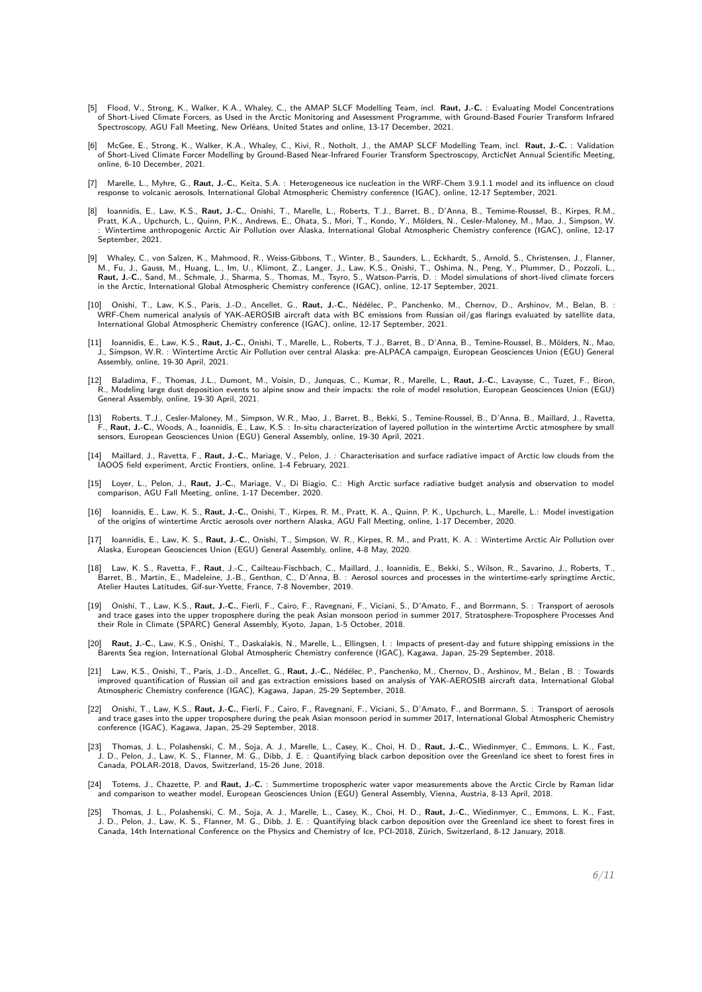- [5] Flood, V., Strong, K., Walker, K.A., Whaley, C., the AMAP SLCF Modelling Team, incl. **Raut, J.-C.** : Evaluating Model Concentrations of Short-Lived Climate Forcers, as Used in the Arctic Monitoring and Assessment Programme, with Ground-Based Fourier Transform Infrared Spectroscopy, AGU Fall Meeting, New Orléans, United States and online, 13-17 December, 2021.
- [6] McGee, E., Strong, K., Walker, K.A., Whaley, C., Kivi, R., Notholt, J., the AMAP SLCF Modelling Team, incl. **Raut, J.-C.** : Validation of Short-Lived Climate Forcer Modelling by Ground-Based Near-Infrared Fourier Transform Spectroscopy, ArcticNet Annual Scientific Meeting, online, 6-10 December, 2021.
- [7] Marelle, L., Myhre, G., **Raut, J.-C.**, Keita, S.A. : Heterogeneous ice nucleation in the WRF-Chem 3.9.1.1 model and its influence on cloud response to volcanic aerosols, International Global Atmospheric Chemistry conference (IGAC), online, 12-17 September, 2021.
- [8] Ioannidis, E., Law, K.S., **Raut, J.-C.**, Onishi, T., Marelle, L., Roberts, T.J., Barret, B., D'Anna, B., Temime-Roussel, B., Kirpes, R.M., Pratt, K.A., Upchurch, L., Quinn, P.K., Andrews, E., Ohata, S., Mori, T., Kondo, Y., Mölders, N., Cesler-Maloney, M., Mao, J., Simpson, W. : Wintertime anthropogenic Arctic Air Pollution over Alaska, International Global Atmospheric Chemistry conference (IGAC), online, 12-17 September, 2021.
- [9] Whaley, C., von Salzen, K., Mahmood, R., Weiss-Gibbons, T., Winter, B., Saunders, L., Eckhardt, S., Arnold, S., Christensen, J., Flanner,<br>M., Fu, J., Gauss, M., Huang, L., Im, U., Klimont, Z., Langer, J., Law, K.S., On **Raut, J.-C.**, Sand, M., Schmale, J., Sharma, S., Thomas, M., Tsyro, S., Watson-Parris, D. : Model simulations of short-lived climate forcers in the Arctic, International Global Atmospheric Chemistry conference (IGAC), online, 12-17 September, 2021.
- : 10] Onishi, T., Law, K.S., Paris, J.-D., Ancellet, G., **Raut, J.-C.**, Nédélec, P., Panchenko, M., Chernov, D., Arshinov, M., Belan, B.<br>WRF-Chem numerical analysis of YAK-AEROSIB aircraft data with BC emissions from Russi International Global Atmospheric Chemistry conference (IGAC), online, 12-17 September, 2021.
- [11] Ioannidis, E., Law, K.S., **Raut, J.-C.**, Onishi, T., Marelle, L., Roberts, T.J., Barret, B., D'Anna, B., Temine-Roussel, B., Mölders, N., Mao, J., Simpson, W.R. : Wintertime Arctic Air Pollution over central Alaska: pre-ALPACA campaign, European Geosciences Union (EGU) General Assembly, online, 19-30 April, 2021.
- [12] Baladima, F., Thomas, J.L., Dumont, M., Voisin, D., Junquas, C., Kumar, R., Marelle, L., **Raut, J.-C.**, Lavaysse, C., Tuzet, F., Biron, R., Modeling large dust deposition events to alpine snow and their impacts: the role of model resolution, European Geosciences Union (EGU) General Assembly, online, 19-30 April, 2021.
- [13] Roberts, T.J., Cesler-Maloney, M., Simpson, W.R., Mao, J., Barret, B., Bekki, S., Temine-Roussel, B., D'Anna, B., Maillard, J., Ravetta, F., **Raut, J.-C.**, Woods, A., Ioannidis, E., Law, K.S. : In-situ characterization of layered pollution in the wintertime Arctic atmosphere by small sensors, European Geosciences Union (EGU) General Assembly, online, 19-30 April, 2021.
- [14] Maillard, J., Ravetta, F., **Raut, J.-C.**, Mariage, V., Pelon, J. : Characterisation and surface radiative impact of Arctic low clouds from the IAOOS field experiment, Arctic Frontiers, online, 1-4 February, 2021.
- [15] Loyer, L., Pelon, J., **Raut, J.-C.**, Mariage, V., Di Biagio, C.: High Arctic surface radiative budget analysis and observation to model comparison, AGU Fall Meeting, online, 1-17 December, 2020.
- [16] Ioannidis, E., Law, K. S., **Raut, J.-C.**, Onishi, T., Kirpes, R. M., Pratt, K. A., Quinn, P. K., Upchurch, L., Marelle, L.: Model investigation of the origins of wintertime Arctic aerosols over northern Alaska, AGU Fall Meeting, online, 1-17 December, 2020.
- [17] Ioannidis, E., Law, K. S., **Raut, J.-C.**, Onishi, T., Simpson, W. R., Kirpes, R. M., and Pratt, K. A. : Wintertime Arctic Air Pollution over<br>Alaska, European Geosciences Union (EGU) General Assembly, online, 4-8 May,
- [18] Law, K. S., Ravetta, F., **Raut**, J.-C., Cailteau-Fischbach, C., Maillard, J., Ioannidis, E., Bekki, S., Wilson, R., Savarino, J., Roberts, T., Barret, B., Martin, E., Madeleine, J.-B., Genthon, C., D'Anna, B. : Aerosol sources and processes in the wintertime-early springtime Arctic, Atelier Hautes Latitudes, Gif-sur-Yvette, France, 7-8 November, 2019.
- [19] Onishi, T., Law, K.S., **Raut, J.-C.**, Fierli, F., Cairo, F., Ravegnani, F., Viciani, S., D'Amato, F., and Borrmann, S. : Transport of aerosols and trace gases into the upper troposphere during the peak Asian monsoon period in summer 2017, Stratosphere-Troposphere Processes And their Role in Climate (SPARC) General Assembly, Kyoto, Japan, 1-5 October, 2018.
- [20] **Raut, J.-C.**, Law, K.S., Onishi, T., Daskalakis, N., Marelle, L., Ellingsen, I. : Impacts of present-day and future shipping emissions in the Barents Sea region, International Global Atmospheric Chemistry conference (IGAC), Kagawa, Japan, 25-29 September, 2018.
- [21] Law, K.S., Onishi, T., Paris, J.-D., Ancellet, G., **Raut, J.-C.**, Nédélec, P., Panchenko, M., Chernov, D., Arshinov, M., Belan , B. : Towards improved quantification of Russian oil and gas extraction emissions based on analysis of YAK-AEROSIB aircraft data, International Global Atmospheric Chemistry conference (IGAC), Kagawa, Japan, 25-29 September, 2018.
- [22] Onishi, T., Law, K.S., **Raut, J.-C.**, Fierli, F., Cairo, F., Ravegnani, F., Viciani, S., D'Amato, F., and Borrmann, S. : Transport of aerosols and trace gases into the upper troposphere during the peak Asian monsoon period in summer 2017, International Global Atmospheric Chemistry conference (IGAC), Kagawa, Japan, 25-29 September, 2018.
- [23] Thomas, J. L., Polashenski, C. M., Soja, A. J., Marelle, L., Casey, K., Choi, H. D., **Raut, J.-C.**, Wiedinmyer, C., Emmons, L. K., Fast,<br>J. D., Pelon, J., Law, K. S., Flanner, M. G., Dibb, J. E. : Quantifying black Canada, POLAR-2018, Davos, Switzerland, 15-26 June, 2018.
- [24] Totems, J., Chazette, P. and **Raut, J.-C.** : Summertime tropospheric water vapor measurements above the Arctic Circle by Raman lidar and comparison to weather model, European Geosciences Union (EGU) General Assembly, Vienna, Austria, 8-13 April, 2018.
- [25] Thomas, J. L., Polashenski, C. M., Soja, A. J., Marelle, L., Casey, K., Choi, H. D., **Raut, J.-C.**, Wiedinmyer, C., Emmons, L. K., Fast, J. D., Pelon, J., Law, K. S., Flanner, M. G., Dibb, J. E. : Quantifying black carbon deposition over the Greenland ice sheet to forest fires in<br>Canada, 14th International Conference on the Physics and Chemistry of Ice, PCI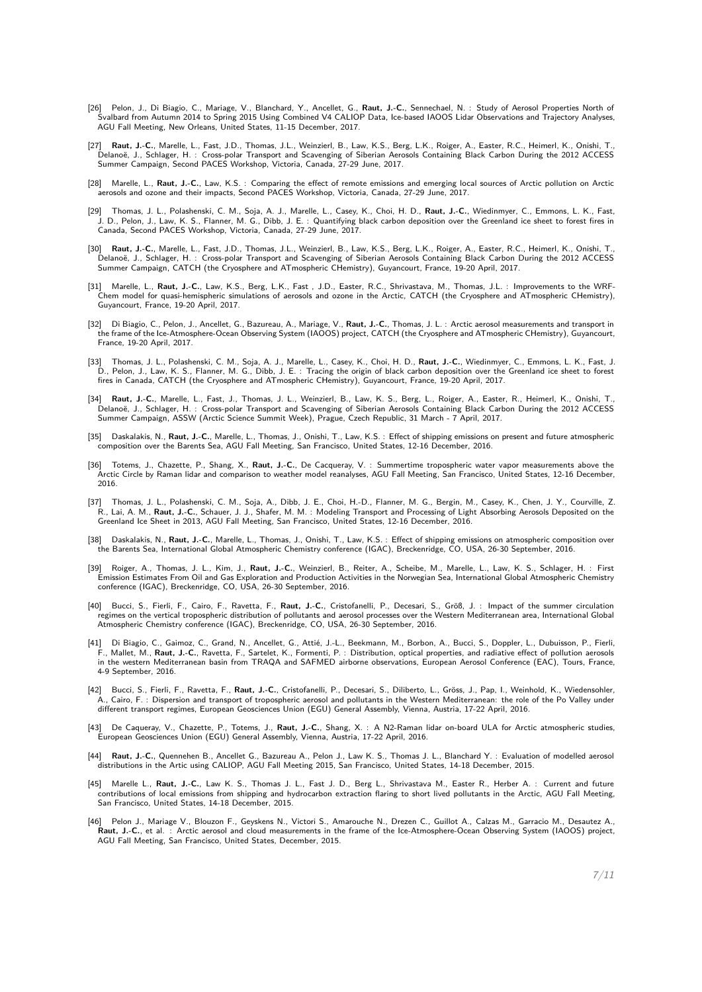- [26] Pelon, J., Di Biagio, C., Mariage, V., Blanchard, Y., Ancellet, G., **Raut, J.-C.**, Sennechael, N. : Study of Aerosol Properties North of<br>Svalbard from Autumn 2014 to Spring 2015 Using Combined V4 CALIOP Data, Ice-base AGU Fall Meeting, New Orleans, United States, 11-15 December, 2017.
- [27] **Raut, J.-C.**, Marelle, L., Fast, J.D., Thomas, J.L., Weinzierl, B., Law, K.S., Berg, L.K., Roiger, A., Easter, R.C., Heimerl, K., Onishi, T., Delanoë, J., Schlager, H. : Cross-polar Transport and Scavenging of Siberian Aerosols Containing Black Carbon During the 2012 ACCESS<br>Summer Campaign, Second PACES Workshop, Victoria, Canada, 27-29 June, 2017.
- [28] Marelle, L., **Raut, J.-C.**, Law, K.S. : Comparing the effect of remote emissions and emerging local sources of Arctic pollution on Arctic<br>aerosols and ozone and their impacts, Second PACES Workshop, Victoria, Canada,
- [29] Thomas, J. L., Polashenski, C. M., Soja, A. J., Marelle, L., Casey, K., Choi, H. D., **Raut, J.-C.**, Wiedinmyer, C., Emmons, L. K., Fast, J. D., Pelon, J., Law, K. S., Flanner, M. G., Dibb, J. E. : Quantifying black carbon deposition over the Greenland ice sheet to forest fires in Canada, Second PACES Workshop, Victoria, Canada, 27-29 June, 2017.
- [30] **Raut, J.-C.**, Marelle, L., Fast, J.D., Thomas, J.L., Weinzierl, B., Law, K.S., Berg, L.K., Roiger, A., Easter, R.C., Heimerl, K., Onishi, T., Delanoë, J., Schlager, H. : Cross-polar Transport and Scavenging of Siberian Aerosols Containing Black Carbon During the 2012 ACCESS<br>Summer Campaign, CATCH (the Cryosphere and ATmospheric CHemistry), Guyancourt, France, 19
- [31] Marelle, L., **Raut, J.-C.**, Law, K.S., Berg, L.K., Fast , J.D., Easter, R.C., Shrivastava, M., Thomas, J.L. : Improvements to the WRF-Chem model for quasi-hemispheric simulations of aerosols and ozone in the Arctic, CATCH (the Cryosphere and ATmospheric CHemistry), Guyancourt, France, 19-20 April, 2017.
- [32] Di Biagio, C., Pelon, J., Ancellet, G., Bazureau, A., Mariage, V., **Raut, J.-C.**, Thomas, J. L. : Arctic aerosol measurements and transport in the frame of the Ice-Atmosphere-Ocean Observing System (IAOOS) project, CATCH (the Cryosphere and ATmospheric CHemistry), Guyancourt, France, 19-20 April, 2017.
- [33] Thomas, J. L., Polashenski, C. M., Soja, A. J., Marelle, L., Casey, K., Choi, H. D., **Raut, J.-C.**, Wiedinmyer, C., Emmons, L. K., Fast, J.<br>D., Pelon, J., Law, K. S., Flanner, M. G., Dibb, J. E. : Tracing the origin fires in Canada, CATCH (the Cryosphere and ATmospheric CHemistry), Guyancourt, France, 19-20 April, 2017.
- [34] **Raut, J.-C.**, Marelle, L., Fast, J., Thomas, J. L., Weinzierl, B., Law, K. S., Berg, L., Roiger, A., Easter, R., Heimerl, K., Onishi, T., Delanoë, J., Schlager, H. : Cross-polar Transport and Scavenging of Siberian Aerosols Containing Black Carbon During the 2012 ACCESS<br>Summer Campaign, ASSW (Arctic Science Summit Week), Prague, Czech Republic, 31 March - 7
- [35] Daskalakis, N., **Raut, J.-C.**, Marelle, L., Thomas, J., Onishi, T., Law, K.S. : Effect of shipping emissions on present and future atmospheric composition over the Barents Sea, AGU Fall Meeting, San Francisco, United States, 12-16 December, 2016.
- [36] Totems, J., Chazette, P., Shang, X., **Raut, J.-C.**, De Cacqueray, V. : Summertime tropospheric water vapor measurements above the Arctic Circle by Raman lidar and comparison to weather model reanalyses, AGU Fall Meeting, San Francisco, United States, 12-16 December, 2016.
- [37] Thomas, J. L., Polashenski, C. M., Soja, A., Dibb, J. E., Choi, H.-D., Flanner, M. G., Bergin, M., Casey, K., Chen, J. Y., Courville, Z. R., Lai, A. M., **Raut, J.-C.**, Schauer, J. J., Shafer, M. M. : Modeling Transport and Processing of Light Absorbing Aerosols Deposited on the Greenland Ice Sheet in 2013, AGU Fall Meeting, San Francisco, United States, 12-16 December, 2016.
- [38] Daskalakis, N., **Raut, J.-C.**, Marelle, L., Thomas, J., Onishi, T., Law, K.S. : Effect of shipping emissions on atmospheric composition over the Barents Sea, International Global Atmospheric Chemistry conference (IGAC), Breckenridge, CO, USA, 26-30 September, 2016.
- [39] Roiger, A., Thomas, J. L., Kim, J., **Raut, J.-C.**, Weinzierl, B., Reiter, A., Scheibe, M., Marelle, L., Law, K. S., Schlager, H. : First Emission Estimates From Oil and Gas Exploration and Production Activities in the Norwegian Sea, International Global Atmospheric Chemistry conference (IGAC), Breckenridge, CO, USA, 26-30 September, 2016.
- [40] Bucci, S., Fierli, F., Cairo, F., Ravetta, F., **Raut, J.-C.**, Cristofanelli, P., Decesari, S., Größ, J. : Impact of the summer circulation regimes on the vertical tropospheric distribution of pollutants and aerosol processes over the Western Mediterranean area, International Global Atmospheric Chemistry conference (IGAC), Breckenridge, CO, USA, 26-30 September, 2016.
- [41] Di Biagio, C., Gaimoz, C., Grand, N., Ancellet, G., Attié, J.-L., Beekmann, M., Borbon, A., Bucci, S., Doppler, L., Dubuisson, P., Fierli, F., Mallet, M., **Raut, J.-C.**, Ravetta, F., Sartelet, K., Formenti, P. : Distribution, optical properties, and radiative effect of pollution aerosols in the western Mediterranean basin from TRAQA and SAFMED airborne observations, European Aerosol Conference (EAC), Tours, France, 4-9 September, 2016.
- [42] Bucci, S., Fierli, F., Ravetta, F., **Raut, J.-C.**, Cristofanelli, P., Decesari, S., Diliberto, L., Gröss, J., Pap, I., Weinhold, K., Wiedensohler, A., Cairo, F. : Dispersion and transport of tropospheric aerosol and pollutants in the Western Mediterranean: the role of the Po Valley under different transport regimes, European Geosciences Union (EGU) General Assembly, Vienna, Austria, 17-22 April, 2016.
- [43] De Caqueray, V., Chazette, P., Totems, J., **Raut, J.-C.**, Shang, X. : A N2-Raman lidar on-board ULA for Arctic atmospheric studies, European Geosciences Union (EGU) General Assembly, Vienna, Austria, 17-22 April, 2016.
- [44] **Raut, J.-C.**, Quennehen B., Ancellet G., Bazureau A., Pelon J., Law K. S., Thomas J. L., Blanchard Y. : Evaluation of modelled aerosol distributions in the Artic using CALIOP, AGU Fall Meeting 2015, San Francisco, United States, 14-18 December, 2015.
- [45] Marelle L., **Raut, J.-C.**, Law K. S., Thomas J. L., Fast J. D., Berg L., Shrivastava M., Easter R., Herber A. : Current and future contributions of local emissions from shipping and hydrocarbon extraction flaring to short lived pollutants in the Arctic, AGU Fall Meeting, San Francisco, United States, 14-18 December, 2015.
- [46] Pelon J., Mariage V., Blouzon F., Geyskens N., Victori S., Amarouche N., Drezen C., Guillot A., Calzas M., Garracio M., Desautez A., **Raut, J.-C.**, et al. : Arctic aerosol and cloud measurements in the frame of the Ice-Atmosphere-Ocean Observing System (IAOOS) project, AGU Fall Meeting, San Francisco, United States, December, 2015.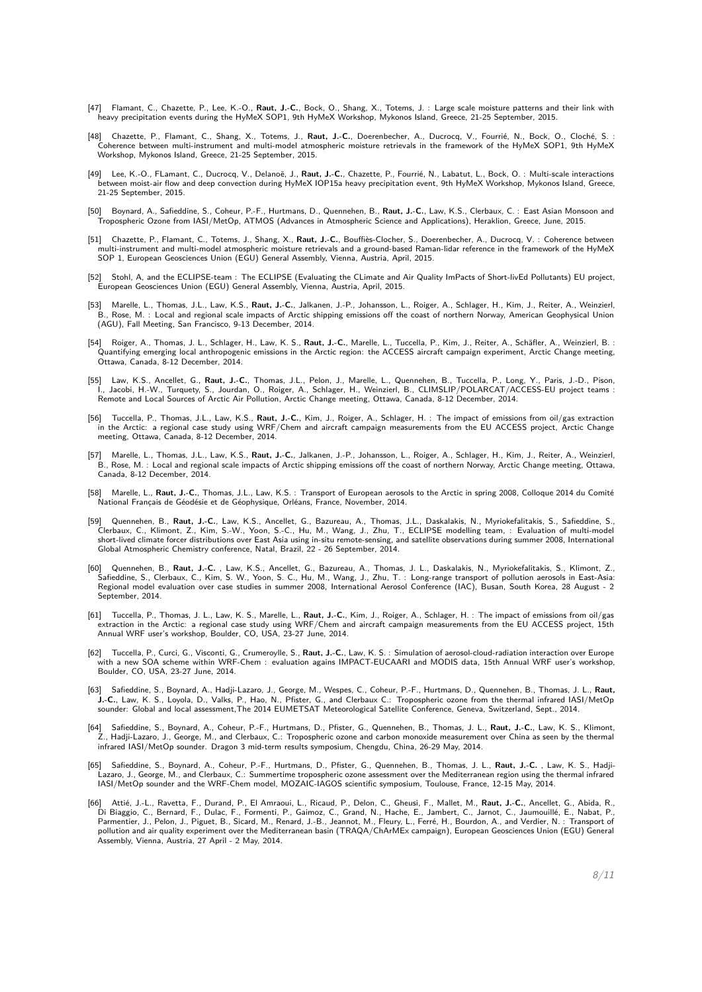- [47] Flamant, C., Chazette, P., Lee, K.-O., **Raut, J.-C.**, Bock, O., Shang, X., Totems, J. : Large scale moisture patterns and their link with heavy precipitation events during the HyMeX SOP1, 9th HyMeX Workshop, Mykonos Island, Greece, 21-25 September, 2015.
- [48] Chazette, P., Flamant, C., Shang, X., Totems, J., **Raut, J.-C.**, Doerenbecher, A., Ducrocq, V., Fourrié, N., Bock, O., Cloché, S. : Coherence between multi-instrument and multi-model atmospheric moisture retrievals in the framework of the HyMeX SOP1, 9th HyMeX Workshop, Mykonos Island, Greece, 21-25 September, 2015.
- [49] Lee, K.-O., FLamant, C., Ducrocq, V., Delanoë, J., **Raut, J.-C.**, Chazette, P., Fourrié, N., Labatut, L., Bock, O. : Multi-scale interactions between moist-air flow and deep convection during HyMeX IOP15a heavy precipitation event, 9th HyMeX Workshop, Mykonos Island, Greece, 21-25 September, 2015.
- [50] Boynard, A., Safieddine, S., Coheur, P.-F., Hurtmans, D., Quennehen, B., **Raut, J.-C.**, Law, K.S., Clerbaux, C. : East Asian Monsoon and Tropospheric Ozone from IASI/MetOp, ATMOS (Advances in Atmospheric Science and Applications), Heraklion, Greece, June, 2015.
- [51] Chazette, P., Flamant, C., Totems, J., Shang, X., **Raut, J.-C.**, Bouffiès-Clocher, S., Doerenbecher, A., Ducrocq, V. : Coherence between multi-instrument and multi-model atmospheric moisture retrievals and a ground-based Raman-lidar reference in the framework of the HyMeX SOP 1, European Geosciences Union (EGU) General Assembly, Vienna, Austria, April, 2015.
- [52] Stohl, A, and the ECLIPSE-team : The ECLIPSE (Evaluating the CLimate and Air Quality ImPacts of Short-livEd Pollutants) EU project, European Geosciences Union (EGU) General Assembly, Vienna, Austria, April, 2015.
- [53] Marelle, L., Thomas, J.L., Law, K.S., **Raut, J.-C.**, Jalkanen, J.-P., Johansson, L., Roiger, A., Schlager, H., Kim, J., Reiter, A., Weinzierl,<br>B., Rose, M. : Local and regional scale impacts of Arctic shipping emissio (AGU), Fall Meeting, San Francisco, 9-13 December, 2014.
- [54] Roiger, A., Thomas, J. L., Schlager, H., Law, K. S., **Raut, J.-C.**, Marelle, L., Tuccella, P., Kim, J., Reiter, A., Schäfler, A., Weinzierl, B. : Quantifying emerging local anthropogenic emissions in the Arctic region: the ACCESS aircraft campaign experiment, Arctic Change meeting, Ottawa, Canada, 8-12 December, 2014.
- [55] Law, K.S., Ancellet, G., **Raut, J.-C.**, Thomas, J.L., Pelon, J., Marelle, L., Quennehen, B., Tuccella, P., Long, Y., Paris, J.-D., Pison, I., Jacobi, H.-W., Turquety, S., Jourdan, O., Roiger, A., Schlager, H., Weinzierl, B., CLIMSLIP/POLARCAT/ACCESS-EU project teams : Remote and Local Sources of Arctic Air Pollution, Arctic Change meeting, Ottawa, Canada, 8-12 December, 2014.
- [56] Tuccella, P., Thomas, J.L., Law, K.S., **Raut, J.-C.**, Kim, J., Roiger, A., Schlager, H. : The impact of emissions from oil/gas extraction in the Arctic: a regional case study using WRF/Chem and aircraft campaign measurements from the EU ACCESS project, Arctic Change meeting, Ottawa, Canada, 8-12 December, 2014.
- [57] Marelle, L., Thomas, J.L., Law, K.S., **Raut, J.-C.**, Jalkanen, J.-P., Johansson, L., Roiger, A., Schlager, H., Kim, J., Reiter, A., Weinzierl,<br>B., Rose, M. : Local and regional scale impacts of Arctic shipping emissio Canada, 8-12 December, 2014.
- [58] Marelle, L., **Raut, J.-C.**, Thomas, J.L., Law, K.S. : Transport of European aerosols to the Arctic in spring 2008, Colloque 2014 du Comité National Français de Géodésie et de Géophysique, Orléans, France, November, 2014.
- [59] Quennehen, B., **Raut, J.-C.**, Law, K.S., Ancellet, G., Bazureau, A., Thomas, J.L., Daskalakis, N., Myriokefalitakis, S., Safieddine, S., Clerbaux, C., Klimont, Z., Kim, S.-W., Yoon, S.-C., Hu, M., Wang, J., Zhu, T., ECLIPSE modelling team, : Evaluation of multi-model<br>short-lived climate forcer distributions over East Asia using in-situ remote-sensing, and s Global Atmospheric Chemistry conference, Natal, Brazil, 22 - 26 September, 2014.
- [60] Quennehen, B., **Raut, J.-C.** , Law, K.S., Ancellet, G., Bazureau, A., Thomas, J. L., Daskalakis, N., Myriokefalitakis, S., Klimont, Z., Safieddine, S., Clerbaux, C., Kim, S. W., Yoon, S. C., Hu, M., Wang, J., Zhu, T. : Long-range transport of pollution aerosols in East-Asia: Regional model evaluation over case studies in summer 2008, International Aerosol Conference (IAC), Busan, South Korea, 28 August - 2 September, 2014.
- [61] Tuccella, P., Thomas, J. L., Law, K. S., Marelle, L., **Raut, J.-C.**, Kim, J., Roiger, A., Schlager, H. : The impact of emissions from oil/gas extraction in the Arctic: a regional case study using WRF/Chem and aircraft campaign measurements from the EU ACCESS project, 15th Annual WRF user's workshop, Boulder, CO, USA, 23-27 June, 2014.
- [62] Tuccella, P., Curci, G., Visconti, G., Crumeroylle, S., **Raut, J.-C.**, Law, K. S. : Simulation of aerosol-cloud-radiation interaction over Europe with a new SOA scheme within WRF-Chem : evaluation agains IMPACT-EUCAARI and MODIS data, 15th Annual WRF user's workshop, Boulder, CO, USA, 23-27 June, 2014.
- [63] Safieddine, S., Boynard, A., Hadji-Lazaro, J., George, M., Wespes, C., Coheur, P.-F., Hurtmans, D., Quennehen, B., Thomas, J. L., **Raut, J.-C.**, Law, K. S., Loyola, D., Valks, P., Hao, N., Pfister, G., and Clerbaux C.: Tropospheric ozone from the thermal infrared IASI/MetOp sounder: Global and local assessment,The 2014 EUMETSAT Meteorological Satellite Conference, Geneva, Switzerland, Sept., 2014.
- [64] Safieddine, S., Boynard, A., Coheur, P.-F., Hurtmans, D., Pfister, G., Quennehen, B., Thomas, J. L., **Raut, J.-C.**, Law, K. S., Klimont, Z., Hadji-Lazaro, J., George, M., and Clerbaux, C.: Tropospheric ozone and carbon monoxide measurement over China as seen by the thermal infrared IASI/MetOp sounder. Dragon 3 mid-term results symposium, Chengdu, China, 26-29 May, 2014.
- [65] Safieddine, S., Boynard, A., Coheur, P.-F., Hurtmans, D., Pfister, G., Quennehen, B., Thomas, J. L., **Raut, J.-C.** , Law, K. S., Hadji-<br>Lazaro, J., George, M., and Clerbaux, C.: Summertime tropospheric ozone assessmen IASI/MetOp sounder and the WRF-Chem model, MOZAIC-IAGOS scientific symposium, Toulouse, France, 12-15 May, 2014.
- [66] Attié, J.-L., Ravetta, F., Durand, P., El Amraoui, L., Ricaud, P., Delon, C., Gheusi, F., Mallet, M., **Raut, J.-C.**, Ancellet, G., Abida, R., Di Biaggio, C., Bernard, F., Dulac, F., Formenti, P., Gaimoz, C., Grand, N., Hache, E., Jambert, C., Jarnot, C., Jaumouillé, E., Nabat, P.,<br>Parmentier, J., Pelon, J., Piguet, B., Sicard, M., Renard, J.-B., Jeannot, M., Fle pollution and air quality experiment over the Mediterranean basin (TRAQA/ChArMEx campaign), European Geosciences Union (EGU) General Assembly, Vienna, Austria, 27 April - 2 May, 2014.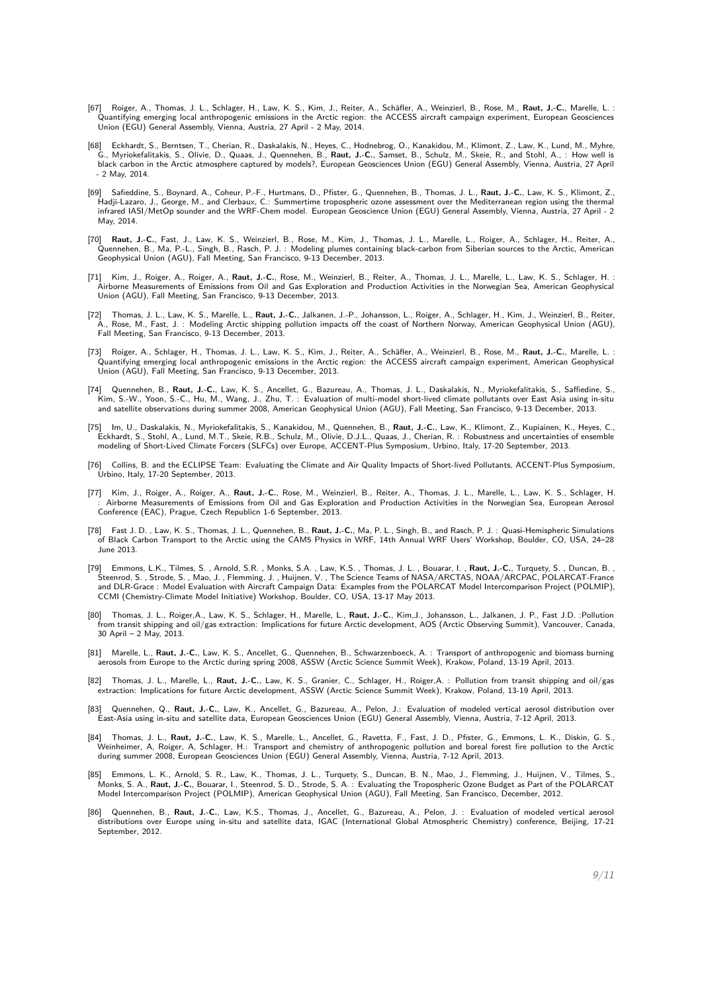- [67] Roiger, A., Thomas, J. L., Schlager, H., Law, K. S., Kim, J., Reiter, A., Schäfler, A., Weinzierl, B., Rose, M., **Raut, J.-C.**, Marelle, L. : Quantifying emerging local anthropogenic emissions in the Arctic region: the ACCESS aircraft campaign experiment, European Geosciences Union (EGU) General Assembly, Vienna, Austria, 27 April - 2 May, 2014.
- [68] Eckhardt, S., Berntsen, T., Cherian, R., Daskalakis, N., Heyes, C., Hodnebrog, O., Kanakidou, M., Klimont, Z., Law, K., Lund, M., Myhre, G., Myriokefalitakis, S., Olivie, D., Quaas, J., Quennehen, B., **Raut, J.-C.**, Samset, B., Schulz, M., Skeie, R., and Stohl, A., : How well is black carbon in the Arctic atmosphere captured by models?, European Geosciences Union (EGU) General Assembly, Vienna, Austria, 27 April - 2 May, 2014.
- [69] Safieddine, S., Boynard, A., Coheur, P.-F., Hurtmans, D., Pfister, G., Quennehen, B., Thomas, J. L., **Raut, J.-C.**, Law, K. S., Klimont, Z., Hadji-Lazaro, J., George, M., and Clerbaux, C.: Summertime tropospheric ozone assessment over the Mediterranean region using the thermal infrared IASI/MetOp sounder and the WRF-Chem model. European Geoscience Union (EGU) General Assembly, Vienna, Austria, 27 April - 2 May, 2014.
- [70] **Raut, J.-C.**, Fast, J., Law, K. S., Weinzierl, B., Rose, M., Kim, J., Thomas, J. L., Marelle, L., Roiger, A., Schlager, H., Reiter, A., Quennehen, B., Ma, P.-L., Singh, B., Rasch, P. J. : Modeling plumes containing black-carbon from Siberian sources to the Arctic, American Geophysical Union (AGU), Fall Meeting, San Francisco, 9-13 December, 2013.
- [71] Kim, J., Roiger, A., Roiger, A., **Raut, J.-C.**, Rose, M., Weinzierl, B., Reiter, A., Thomas, J. L., Marelle, L., Law, K. S., Schlager, H. : Airborne Measurements of Emissions from Oil and Gas Exploration and Production Activities in the Norwegian Sea, American Geophysical Union (AGU), Fall Meeting, San Francisco, 9-13 December, 2013.
- [72] Thomas, J. L., Law, K. S., Marelle, L., **Raut, J.-C.**, Jalkanen, J.-P., Johansson, L., Roiger, A., Schlager, H., Kim, J., Weinzierl, B., Reiter, A., Rose, M., Fast, J. : Modeling Arctic shipping pollution impacts off the coast of Northern Norway, American Geophysical Union (AGU), Fall Meeting, San Francisco, 9-13 December, 2013.
- [73] Roiger, A., Schlager, H., Thomas, J. L., Law, K. S., Kim, J., Reiter, A., Schäfler, A., Weinzierl, B., Rose, M., **Raut, J.-C.**, Marelle, L. : Quantifying emerging local anthropogenic emissions in the Arctic region: the ACCESS aircraft campaign experiment, American Geophysical Union (AGU), Fall Meeting, San Francisco, 9-13 December, 2013.
- ,74] Quennehen, B., **Raut, J.-C.**, Law, K. S., Ancellet, G., Bazureau, A., Thomas, J. L., Daskalakis, N., Myriokefalitakis, S., Saffiedine, S.<br>Kim, S.-W., Yoon, S.-C., Hu, M., Wang, J., Zhu, T. : Evaluation of multi-model and satellite observations during summer 2008, American Geophysical Union (AGU), Fall Meeting, San Francisco, 9-13 December, 2013.
- .75] Im, U., Daskalakis, N., Myriokefalitakis, S., Kanakidou, M., Quennehen, B., **Raut, J.-C.**, Law, K., Klimont, Z., Kupiainen, K., Heyes, C., Eckhardt, S., Stohl, A., Lund, M.T., Skeie, R.B., Schulz, M., Olivie, D.J.L.,
- [76] Collins, B. and the ECLIPSE Team: Evaluating the Climate and Air Quality Impacts of Short-lived Pollutants, ACCENT-Plus Symposium, Urbino, Italy, 17-20 September, 2013.
- [77] Kim, J., Roiger, A., Roiger, A., **Raut, J.-C.**, Rose, M., Weinzierl, B., Reiter, A., Thomas, J. L., Marelle, L., Law, K. S., Schlager, H. : Airborne Measurements of Emissions from Oil and Gas Exploration and Production Activities in the Norwegian Sea, European Aerosol Conference (EAC), Prague, Czech Republicn 1-6 September, 2013.
- [78] Fast J. D. , Law, K. S., Thomas, J. L., Quennehen, B., **Raut, J.-C.**, Ma, P. L., Singh, B., and Rasch, P. J. : Quasi-Hemispheric Simulations of Black Carbon Transport to the Arctic using the CAM5 Physics in WRF, 14th Annual WRF Users' Workshop, Boulder, CO, USA, 24–28 June 2013.
- [79] Emmons, L.K., Tilmes, S. , Arnold, S.R. , Monks, S.A. , Law, K.S. , Thomas, J. L. , Bouarar, I. , **Raut, J.-C.**, Turquety, S. , Duncan, B. ,<br>Steenrod, S. , Strode, S. , Mao, J. , Flemming, J. , Huijnen, V. , The Scien and DLR-Grace : Model Evaluation with Aircraft Campaign Data: Examples from the POLARCAT Model Intercomparison Project (POLMIP), CCMI (Chemistry-Climate Model Initiative) Workshop, Boulder, CO, USA, 13-17 May 2013.
- [80] Thomas, J. L., Roiger,A., Law, K. S., Schlager, H., Marelle, L., **Raut, J.-C.**, Kim,J., Johansson, L., Jalkanen, J. P., Fast J.D. :Pollution from transit shipping and oil/gas extraction: Implications for future Arctic development, AOS (Arctic Observing Summit), Vancouver, Canada, 30 April – 2 May, 2013.
- [81] Marelle, L., **Raut, J.-C.**, Law, K. S., Ancellet, G., Quennehen, B., Schwarzenboeck, A. : Transport of anthropogenic and biomass burning aerosols from Europe to the Arctic during spring 2008, ASSW (Arctic Science Summit Week), Krakow, Poland, 13-19 April, 2013.
- [82] Thomas, J. L., Marelle, L., **Raut, J.-C.**, Law, K. S., Granier, C., Schlager, H., Roiger,A. : Pollution from transit shipping and oil/gas extraction: Implications for future Arctic development, ASSW (Arctic Science Summit Week), Krakow, Poland, 13-19 April, 2013.
- [83] Quennehen, Q., **Raut, J.-C.**, Law, K., Ancellet, G., Bazureau, A., Pelon, J.: Evaluation of modeled vertical aerosol distribution over East-Asia using in-situ and satellite data, European Geosciences Union (EGU) General Assembly, Vienna, Austria, 7-12 April, 2013.
- [84] Thomas, J. L., **Raut, J.-C.**, Law, K. S., Marelle, L., Ancellet, G., Ravetta, F., Fast, J. D., Pfister, G., Emmons, L. K., Diskin, G. S., Weinheimer, A, Roiger, A, Schlager, H.: Transport and chemistry of anthropogenic pollution and boreal forest fire pollution to the Arctic during summer 2008, European Geosciences Union (EGU) General Assembly, Vienna, Austria, 7-12 April, 2013.
- , Emmons, L. K., Arnold, S. R., Law, K., Thomas, J. L., Turquety, S., Duncan, B. N., Mao, J., Flemming, J., Huijnen, V., Tilmes, S.<br>Monks, S. A., **Raut, J.-C.**, Bouarar, I., Steenrod, S. D., Strode, S. A. : Evaluating the Model Intercomparison Project (POLMIP), American Geophysical Union (AGU), Fall Meeting, San Francisco, December, 2012.
- [86] Quennehen, B., **Raut, J.-C.**, Law, K.S., Thomas, J., Ancellet, G., Bazureau, A., Pelon, J. : Evaluation of modeled vertical aerosol distributions over Europe using in-situ and satellite data, IGAC (International Global Atmospheric Chemistry) conference, Beijing, 17-21 September, 2012.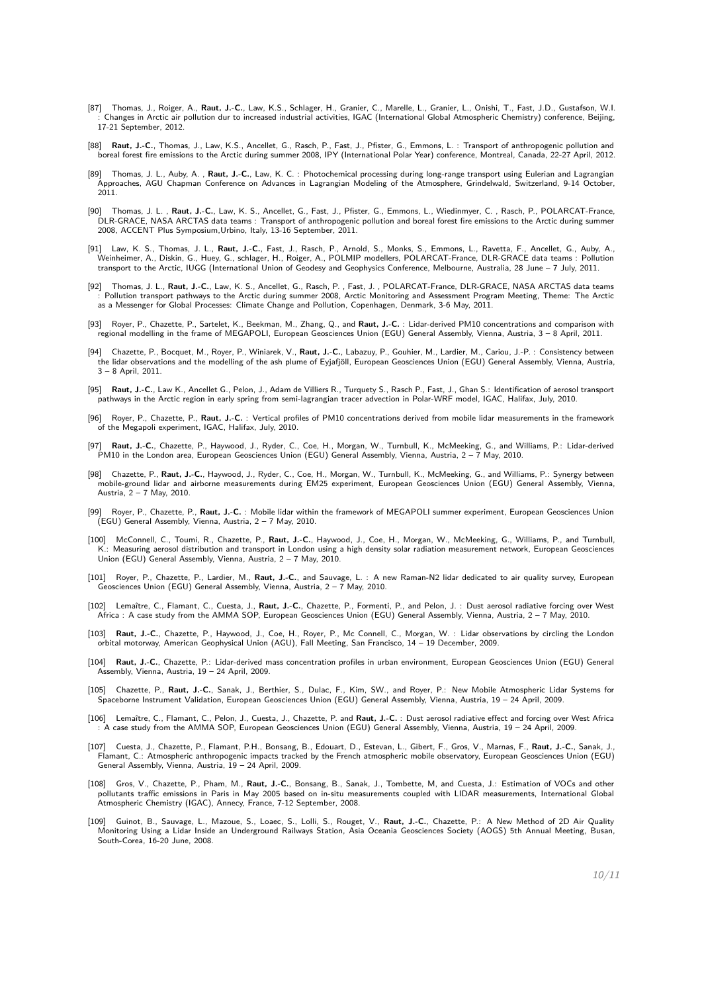- [87] Thomas, J., Roiger, A., **Raut, J.-C.**, Law, K.S., Schlager, H., Granier, C., Marelle, L., Granier, L., Onishi, T., Fast, J.D., Gustafson, W.I. : Changes in Arctic air pollution dur to increased industrial activities, IGAC (International Global Atmospheric Chemistry) conference, Beijing, 17-21 September, 2012.
- [88] **Raut, J.-C.**, Thomas, J., Law, K.S., Ancellet, G., Rasch, P., Fast, J., Pfister, G., Emmons, L. : Transport of anthropogenic pollution and boreal forest fire emissions to the Arctic during summer 2008, IPY (International Polar Year) conference, Montreal, Canada, 22-27 April, 2012.
- [89] Thomas, J. L., Auby, A. , **Raut, J.-C.**, Law, K. C. : Photochemical processing during long-range transport using Eulerian and Lagrangian Approaches, AGU Chapman Conference on Advances in Lagrangian Modeling of the Atmosphere, Grindelwald, Switzerland, 9-14 October, 2011.
- [90] Thomas, J. L. , **Raut, J.-C.**, Law, K. S., Ancellet, G., Fast, J., Pfister, G., Emmons, L., Wiedinmyer, C. , Rasch, P., POLARCAT-France, DLR-GRACE, NASA ARCTAS data teams : Transport of anthropogenic pollution and boreal forest fire emissions to the Arctic during summer 2008, ACCENT Plus Symposium,Urbino, Italy, 13-16 September, 2011.
- [91] Law, K. S., Thomas, J. L., **Raut, J.-C.**, Fast, J., Rasch, P., Arnold, S., Monks, S., Emmons, L., Ravetta, F., Ancellet, G., Auby, A., Weinheimer, A., Diskin, G., Huey, G., schlager, H., Roiger, A., POLMIP modellers, POLARCAT-France, DLR-GRACE data teams : Pollution<br>transport to the Arctic, IUGG (International Union of Geodesy and Geophysics Conference, M
- [92] Thomas, J. L., **Raut, J.-C.**, Law, K. S., Ancellet, G., Rasch, P. , Fast, J. , POLARCAT-France, DLR-GRACE, NASA ARCTAS data teams : Pollution transport pathways to the Arctic during summer 2008, Arctic Monitoring and Assessment Program Meeting, Theme: The Arctic as a Messenger for Global Processes: Climate Change and Pollution, Copenhagen, Denmark, 3-6 May, 2011.
- [93] Royer, P., Chazette, P., Sartelet, K., Beekman, M., Zhang, Q., and **Raut, J.-C.** : Lidar-derived PM10 concentrations and comparison with regional modelling in the frame of MEGAPOLI, European Geosciences Union (EGU) General Assembly, Vienna, Austria, 3 – 8 April, 2011.
- [94] Chazette, P., Bocquet, M., Royer, P., Winiarek, V., **Raut, J.-C.**, Labazuy, P., Gouhier, M., Lardier, M., Cariou, J.-P. : Consistency between the lidar observations and the modelling of the ash plume of Eyjafjöll, European Geosciences Union (EGU) General Assembly, Vienna, Austria, 3 – 8 April, 2011.
- [95] **Raut, J.-C.**, Law K., Ancellet G., Pelon, J., Adam de Villiers R., Turquety S., Rasch P., Fast, J., Ghan S.: Identification of aerosol transport pathways in the Arctic region in early spring from semi-lagrangian tracer advection in Polar-WRF model, IGAC, Halifax, July, 2010.
- [96] Royer, P., Chazette, P., **Raut, J.-C.** : Vertical profiles of PM10 concentrations derived from mobile lidar measurements in the framework of the Megapoli experiment, IGAC, Halifax, July, 2010.
- [97] **Raut, J.-C.**, Chazette, P., Haywood, J., Ryder, C., Coe, H., Morgan, W., Turnbull, K., McMeeking, G., and Williams, P.: Lidar-derived PM10 in the London area, European Geosciences Union (EGU) General Assembly, Vienna, Austria, 2 – 7 May, 2010.
- [98] Chazette, P., **Raut, J.-C.**, Haywood, J., Ryder, C., Coe, H., Morgan, W., Turnbull, K., McMeeking, G., and Williams, P.: Synergy between mobile-ground lidar and airborne measurements during EM25 experiment, European Geosciences Union (EGU) General Assembly, Vienna, Austria, 2 – 7 May, 2010.
- [99] Royer, P., Chazette, P., **Raut, J.-C.** : Mobile lidar within the framework of MEGAPOLI summer experiment, European Geosciences Union (EGU) General Assembly, Vienna, Austria, 2 – 7 May, 2010.
- [100] McConnell, C., Toumi, R., Chazette, P., Raut, J.-C., Haywood, J., Coe, H., Morgan, W., McMeeking, G., Williams, P., and Turnbull, K.: Measuring aerosol distribution and transport in London using a high density solar radiation measurement network, European Geosciences Union (EGU) General Assembly, Vienna, Austria, 2 – 7 May, 2010.
- [101] Royer, P., Chazette, P., Lardier, M., **Raut, J.-C.**, and Sauvage, L. : A new Raman-N2 lidar dedicated to air quality survey, European Geosciences Union (EGU) General Assembly, Vienna, Austria, 2 – 7 May, 2010.
- [102] Lemaître, C., Flamant, C., Cuesta, J., **Raut, J.-C.**, Chazette, P., Formenti, P., and Pelon, J. : Dust aerosol radiative forcing over West Africa : A case study from the AMMA SOP, European Geosciences Union (EGU) General Assembly, Vienna, Austria, 2 – 7 May, 2010.
- [103] **Raut, J.-C.**, Chazette, P., Haywood, J., Coe, H., Royer, P., Mc Connell, C., Morgan, W. : Lidar observations by circling the London orbital motorway, American Geophysical Union (AGU), Fall Meeting, San Francisco, 14 – 19 December, 2009.
- [104] **Raut, J.-C.**, Chazette, P.: Lidar-derived mass concentration profiles in urban environment, European Geosciences Union (EGU) General Assembly, Vienna, Austria, 19 – 24 April, 2009.
- [105] Chazette, P., **Raut, J.-C.**, Sanak, J., Berthier, S., Dulac, F., Kim, SW., and Royer, P.: New Mobile Atmospheric Lidar Systems for Spaceborne Instrument Validation, European Geosciences Union (EGU) General Assembly, Vienna, Austria, 19 – 24 April, 2009.
- [106] Lemaître, C., Flamant, C., Pelon, J., Cuesta, J., Chazette, P. and **Raut, J.-C.** : Dust aerosol radiative effect and forcing over West Africa : A case study from the AMMA SOP, European Geosciences Union (EGU) General Assembly, Vienna, Austria, 19 – 24 April, 2009.
- [107] Cuesta, J., Chazette, P., Flamant, P.H., Bonsang, B., Edouart, D., Estevan, L., Gibert, F., Gros, V., Marnas, F., **Raut, J.-C.**, Sanak, J., Flamant, C.: Atmospheric anthropogenic impacts tracked by the French atmospheric mobile observatory, European Geosciences Union (EGU) General Assembly, Vienna, Austria, 19 – 24 April, 2009.
- [108] Gros, V., Chazette, P., Pham, M., **Raut, J.-C.**, Bonsang, B., Sanak, J., Tombette, M, and Cuesta, J.: Estimation of VOCs and other pollutants traffic emissions in Paris in May 2005 based on in-situ measurements coupled with LIDAR measurements, International Global Atmospheric Chemistry (IGAC), Annecy, France, 7-12 September, 2008.
- [109] Guinot, B., Sauvage, L., Mazoue, S., Loaec, S., Lolli, S., Rouget, V., **Raut, J.-C.**, Chazette, P.: A New Method of 2D Air Quality Monitoring Using a Lidar Inside an Underground Railways Station, Asia Oceania Geosciences Society (AOGS) 5th Annual Meeting, Busan, South-Corea, 16-20 June, 2008.